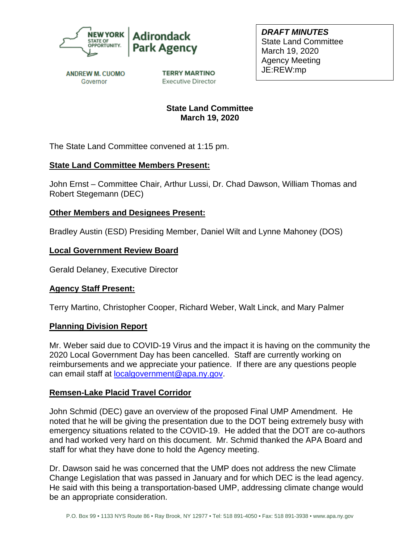



*DRAFT MINUTES* State Land Committee March 19, 2020 Agency Meeting JE:REW:mp

**ANDREW M. CUOMO** Governor

**TERRY MARTINO Executive Director** 

# **State Land Committee March 19, 2020**

The State Land Committee convened at 1:15 pm.

### **State Land Committee Members Present:**

John Ernst – Committee Chair, Arthur Lussi, Dr. Chad Dawson, William Thomas and Robert Stegemann (DEC)

## **Other Members and Designees Present:**

Bradley Austin (ESD) Presiding Member, Daniel Wilt and Lynne Mahoney (DOS)

## **Local Government Review Board**

Gerald Delaney, Executive Director

### **Agency Staff Present:**

Terry Martino, Christopher Cooper, Richard Weber, Walt Linck, and Mary Palmer

### **Planning Division Report**

Mr. Weber said due to COVID-19 Virus and the impact it is having on the community the 2020 Local Government Day has been cancelled. Staff are currently working on reimbursements and we appreciate your patience. If there are any questions people can email staff at [localgovernment@apa.ny.gov.](mailto:localgovernment@apa.ny.gov)

### **Remsen-Lake Placid Travel Corridor**

John Schmid (DEC) gave an overview of the proposed Final UMP Amendment. He noted that he will be giving the presentation due to the DOT being extremely busy with emergency situations related to the COVID-19. He added that the DOT are co-authors and had worked very hard on this document. Mr. Schmid thanked the APA Board and staff for what they have done to hold the Agency meeting.

Dr. Dawson said he was concerned that the UMP does not address the new Climate Change Legislation that was passed in January and for which DEC is the lead agency. He said with this being a transportation-based UMP, addressing climate change would be an appropriate consideration.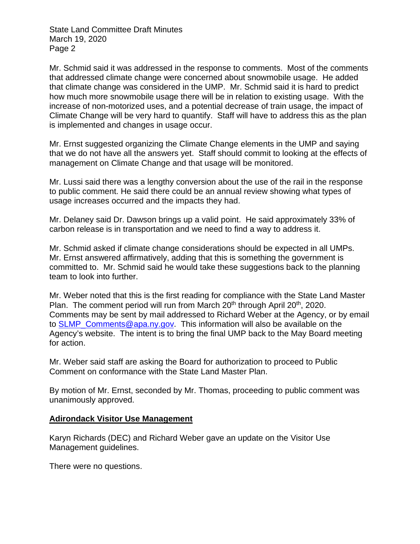State Land Committee Draft Minutes March 19, 2020 Page 2

Mr. Schmid said it was addressed in the response to comments. Most of the comments that addressed climate change were concerned about snowmobile usage. He added that climate change was considered in the UMP. Mr. Schmid said it is hard to predict how much more snowmobile usage there will be in relation to existing usage. With the increase of non-motorized uses, and a potential decrease of train usage, the impact of Climate Change will be very hard to quantify. Staff will have to address this as the plan is implemented and changes in usage occur.

Mr. Ernst suggested organizing the Climate Change elements in the UMP and saying that we do not have all the answers yet. Staff should commit to looking at the effects of management on Climate Change and that usage will be monitored.

Mr. Lussi said there was a lengthy conversion about the use of the rail in the response to public comment. He said there could be an annual review showing what types of usage increases occurred and the impacts they had.

Mr. Delaney said Dr. Dawson brings up a valid point. He said approximately 33% of carbon release is in transportation and we need to find a way to address it.

Mr. Schmid asked if climate change considerations should be expected in all UMPs. Mr. Ernst answered affirmatively, adding that this is something the government is committed to. Mr. Schmid said he would take these suggestions back to the planning team to look into further.

Mr. Weber noted that this is the first reading for compliance with the State Land Master Plan. The comment period will run from March 20<sup>th</sup> through April 20<sup>th</sup>, 2020. Comments may be sent by mail addressed to Richard Weber at the Agency, or by email to [SLMP\\_Comments@apa.ny.gov.](mailto:SLMP_Comments@apa.ny.gov) This information will also be available on the Agency's website. The intent is to bring the final UMP back to the May Board meeting for action.

Mr. Weber said staff are asking the Board for authorization to proceed to Public Comment on conformance with the State Land Master Plan.

By motion of Mr. Ernst, seconded by Mr. Thomas, proceeding to public comment was unanimously approved.

### **Adirondack Visitor Use Management**

Karyn Richards (DEC) and Richard Weber gave an update on the Visitor Use Management guidelines.

There were no questions.